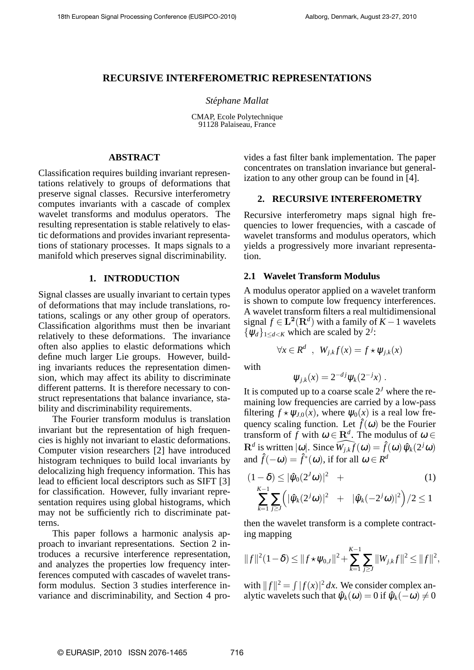# **RECURSIVE INTERFEROMETRIC REPRESENTATIONS**

*Stephane Mallat ´*

CMAP, Ecole Polytechnique 91128 Palaiseau, France

## **ABSTRACT**

Classification requires building invariant representations relatively to groups of deformations that preserve signal classes. Recursive interferometry computes invariants with a cascade of complex wavelet transforms and modulus operators. The resulting representation is stable relatively to elastic deformations and provides invariant representations of stationary processes. It maps signals to a manifold which preserves signal discriminability.

# **1. INTRODUCTION**

Signal classes are usually invariant to certain types of deformations that may include translations, rotations, scalings or any other group of operators. Classification algorithms must then be invariant relatively to these deformations. The invariance often also applies to elastic deformations which define much larger Lie groups. However, building invariants reduces the representation dimension, which may affect its ability to discriminate different patterns. It is therefore necessary to construct representations that balance invariance, stability and discriminability requirements.

The Fourier transform modulus is translation invariant but the representation of high frequencies is highly not invariant to elastic deformations. Computer vision researchers [2] have introduced histogram techniques to build local invariants by delocalizing high frequency information. This has lead to efficient local descriptors such as SIFT [3] for classification. However, fully invariant representation requires using global histograms, which may not be sufficiently rich to discriminate patterns.

This paper follows a harmonic analysis approach to invariant representations. Section 2 introduces a recursive interference representation, and analyzes the properties low frequency interferences computed with cascades of wavelet transform modulus. Section 3 studies interference invariance and discriminability, and Section 4 provides a fast filter bank implementation. The paper concentrates on translation invariance but generalization to any other group can be found in [4].

## **2. RECURSIVE INTERFEROMETRY**

Recursive interferometry maps signal high frequencies to lower frequencies, with a cascade of wavelet transforms and modulus operators, which yields a progressively more invariant representation.

## **2.1 Wavelet Transform Modulus**

A modulus operator applied on a wavelet tranform is shown to compute low frequency interferences. A wavelet transform filters a real multidimensional signal  $f \in L^2(\mathbf{R}^d)$  with a family of  $K-1$  wavelets  $\{\psi_d\}_{1 \le d \le K}$  which are scaled by 2<sup>*j*</sup>:

$$
\forall x \in \mathbb{R}^d \; , \; W_{j,k}f(x) = f \star \psi_{j,k}(x)
$$

with

$$
\psi_{j,k}(x)=2^{-dj}\psi_k(2^{-j}x).
$$

It is computed up to a coarse scale  $2<sup>J</sup>$  where the remaining low frequencies are carried by a low-pass filtering  $f \star \psi_{J,0}(x)$ , where  $\psi_0(x)$  is a real low frequency scaling function. Let  $\hat{f}(\omega)$  be the Fourier transform of *f* with  $\omega \in \mathbf{R}^d$ . The modulus of  $\omega \in$  $\mathbf{R}^d$  is written  $|\omega|$ . Since  $\widehat{W_{j,k}f}(\omega) = \hat{f}(\omega)\hat{W}_k(2^j\omega)$ and  $\hat{f}(-\omega) = \hat{f}^*(\omega)$ , if for all  $\omega \in R^d$ 

$$
(1 - \delta) \leq |\hat{\psi}_0(2^J \omega)|^2 + (1 - \delta) \leq |\hat{\psi}_0(2^J \omega)|^2 + |\hat{\psi}_k(-2^j \omega)|^2 / 2 \leq 1
$$

then the wavelet transform is a complete contracting mapping

$$
||f||^2(1-\delta) \leq ||f \star \psi_{0,J}||^2 + \sum_{k=1}^{K-1} \sum_{j \geq J} ||W_{j,k}f||^2 \leq ||f||^2,
$$

with  $||f||^2 = \int |f(x)|^2 dx$ . We consider complex analytic wavelets such that  $\hat{\psi}_k(\omega) = 0$  if  $\hat{\psi}_k(-\omega) \neq 0$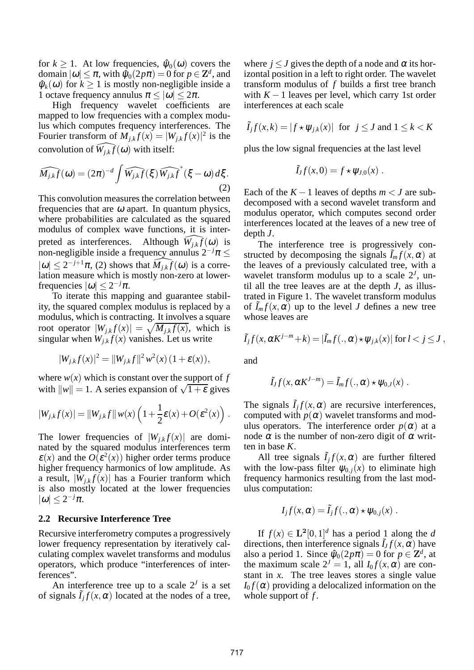for  $k \ge 1$ . At low frequencies,  $\hat{\psi}_0(\omega)$  covers the domain  $|\omega| \leq \pi$ , with  $\hat{\psi}_0(2p\pi) = 0$  for  $p \in \mathbb{Z}^d$ , and  $\hat{\psi}_k(\omega)$  for  $k \geq 1$  is mostly non-negligible inside a 1 octave frequency annulus  $\pi < |\omega| < 2\pi$ .

High frequency wavelet coefficients are mapped to low frequencies with a complex modulus which computes frequency interferences. The Fourier transform of  $M_{j,k} f(x) = |W_{j,k} f(x)|^2$  is the convolution of  $\widehat{W_{j,k}f}(\omega)$  with itself:

$$
\widehat{M_{j,k}f}(\omega) = (2\pi)^{-d} \int \widehat{W_{j,k}f}(\xi) \widehat{W_{j,k}f}^*(\xi - \omega) d\xi.
$$
\n(2)

This convolution measures the correlation between frequencies that are  $\omega$  apart. In quantum physics, where probabilities are calculated as the squared modulus of complex wave functions, it is interpreted as interferences. Although  $\widehat{W_{j,k}f}(\omega)$  is non-negligible inside a frequency annulus 2−*j*<sup>π</sup> <sup>≤</sup>  $|\omega| \leq 2^{-j+1}\pi$ , (2) shows that  $\widehat{M_{j,k}f}(\omega)$  is a correlation measure which is mostly non-zero at lowerfrequencies  $|\omega| \leq 2^{-j}\pi$ .

To iterate this mapping and guarantee stability, the squared complex modulus is replaced by a modulus, which is contracting. It involves a square root operator  $|W_{j,k}f(x)| = \sqrt{M_{j,k}f(x)}$ , which is singular when  $W_{j,k}f(x)$  vanishes. Let us write

$$
|W_{j,k}f(x)|^2 = ||W_{j,k}f||^2 w^2(x) (1 + \varepsilon(x)),
$$

where  $w(x)$  which is constant over the support of  $f$ with  $||w|| = 1$ . A series expansion of  $\sqrt{1 + \varepsilon}$  gives

$$
|W_{j,k}f(x)| = ||W_{j,k}f|| w(x) \left(1 + \frac{1}{2}\varepsilon(x) + O(\varepsilon^2(x))\right).
$$

The lower frequencies of  $|W_{j,k}f(x)|$  are dominated by the squared modulus interferences term  $\varepsilon(x)$  and the  $O(\varepsilon^2(x))$  higher order terms produce higher frequency harmonics of low amplitude. As a result,  $|W_{j,k}f(x)|$  has a Fourier tranform which is also mostly located at the lower frequencies  $|\omega| \leq 2^{-j}\pi$ .

## **2.2 Recursive Interference Tree**

Recursive interferometry computes a progressively lower frequency representation by iteratively calculating complex wavelet transforms and modulus operators, which produce "interferences of interferences".

An interference tree up to a scale  $2<sup>J</sup>$  is a set of signals  $\tilde{I}_j f(x, \alpha)$  located at the nodes of a tree, where  $j < J$  gives the depth of a node and  $\alpha$  its horizontal position in a left to right order. The wavelet transform modulus of *f* builds a first tree branch with  $K - 1$  leaves per level, which carry 1st order interferences at each scale

$$
\tilde{I}_j f(x,k) = |f \star \psi_{j,k}(x)| \text{ for } j \le J \text{ and } 1 \le k < K
$$

plus the low signal frequencies at the last level

$$
\tilde{I}_J f(x,0) = f \star \psi_{J,0}(x) .
$$

Each of the  $K - 1$  leaves of depths  $m < J$  are subdecomposed with a second wavelet transform and modulus operator, which computes second order interferences located at the leaves of a new tree of depth *J*.

The interference tree is progressively constructed by decomposing the signals  $\tilde{I}_m f(x, \alpha)$  at the leaves of a previously calculated tree, with a wavelet transform modulus up to a scale  $2<sup>J</sup>$ , until all the tree leaves are at the depth *J*, as illustrated in Figure 1. The wavelet transform modulus of  $\tilde{I}_m f(x, \alpha)$  up to the level *J* defines a new tree whose leaves are

$$
\tilde{I}_j f(x, \alpha K^{j-m}+k) = |\tilde{I}_m f(., \alpha) \star \psi_{j,k}(x)| \text{ for } l < j \leq J,
$$

and

$$
\tilde{I}_J f(x, \alpha K^{J-m}) = \tilde{I}_m f(., \alpha) \star \psi_{0,J}(x) .
$$

The signals  $\tilde{I}_j f(x, \alpha)$  are recursive interferences, computed with  $p(\alpha)$  wavelet transforms and modulus operators. The interference order  $p(\alpha)$  at a node  $\alpha$  is the number of non-zero digit of  $\alpha$  written in base *K*.

All tree signals  $\tilde{I}_j f(x, \alpha)$  are further filtered with the low-pass filter  $\psi_{0,i}(x)$  to eliminate high frequency harmonics resulting from the last modulus computation:

$$
I_j f(x, \alpha) = \tilde{I}_j f(., \alpha) \star \psi_{0,j}(x) .
$$

If  $f(x) \in L^2[0,1]^d$  has a period 1 along the *d* directions, then interference signals  $\tilde{I}_f f(x, \alpha)$  have also a period 1. Since  $\hat{\psi}_0(2p\pi) = 0$  for  $p \in \mathbb{Z}^d$ , at the maximum scale  $2^J = 1$ , all  $I_0 f(x, \alpha)$  are constant in *x*. The tree leaves stores a single value  $I_0 f(\alpha)$  providing a delocalized information on the whole support of *f* .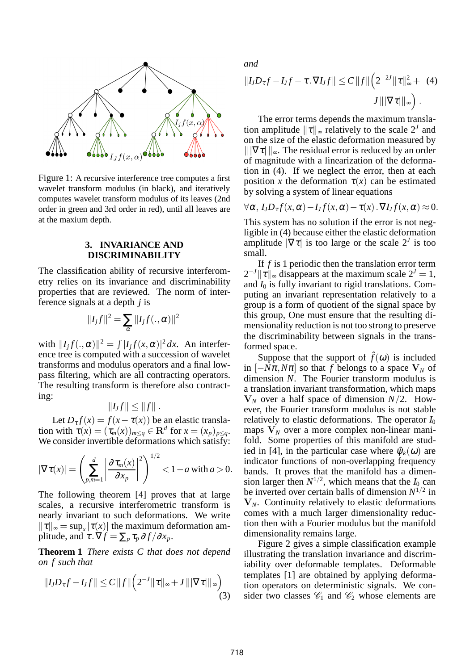

Figure 1: A recursive interference tree computes a first wavelet transform modulus (in black), and iteratively computes wavelet transform modulus of its leaves (2nd order in green and 3rd order in red), until all leaves are at the maxium depth.

#### **3. INVARIANCE AND DISCRIMINABILITY**

The classification ability of recursive interferometry relies on its invariance and discriminability properties that are reviewed. The norm of interference signals at a depth *j* is

$$
||I_jf||^2 = \sum_{\alpha} ||I_jf(.,\alpha)||^2
$$

with  $||I_j f(., \alpha)||^2 = \int |I_j f(x, \alpha)|^2 dx$ . An interference tree is computed with a succession of wavelet transforms and modulus operators and a final lowpass filtering, which are all contracting operators. The resulting transform is therefore also contracting:

$$
||I_Jf|| \leq ||f||.
$$

Let  $D_{\tau}f(x) = f(x - \tau(x))$  be an elastic translation with  $\tau(x) = (\tau_m(x))_{m \le q} \in \mathbb{R}^d$  for  $x = (x_p)_{p \le q}$ . We consider invertible deformations which satisfy:

$$
|\nabla \tau(x)| = \left(\sum_{p,m=1}^d \left|\frac{\partial \tau_m(x)}{\partial x_p}\right|^2\right)^{1/2} < 1 - a \text{ with } a > 0.
$$

The following theorem [4] proves that at large scales, a recursive interferometric transform is nearly invariant to such deformations. We write  $\|\tau\|_{\infty} = \sup_{x} |\tau(x)|$  the maximum deformation amplitude, and  $\tau \cdot \nabla f = \sum_{p} \tau_{p} \partial f / \partial x_{p}$ .

**Theorem 1** *There exists C that does not depend on f such that*

$$
||I_J D_\tau f - I_J f|| \leq C ||f|| \left( 2^{-J} ||\tau||_{\infty} + J |||\nabla \tau|||_{\infty} \right)
$$
\n(3)

*and*

$$
||I_J D_{\tau} f - I_J f - \tau \cdot \nabla I_J f|| \leq C ||f|| \left( 2^{-2J} ||\tau||_{\infty}^2 + (4) \right) J |||\nabla \tau||_{\infty}.
$$

The error terms depends the maximum translation amplitude  $||\tau||_{\infty}$  relatively to the scale 2<sup>*J*</sup> and on the size of the elastic deformation measured by  $\|\nabla \tau\|_{\infty}$ . The residual error is reduced by an order of magnitude with a linearization of the deformation in (4). If we neglect the error, then at each position *x* the deformation  $\tau(x)$  can be estimated by solving a system of linear equations

$$
\forall \alpha, I_J D_{\tau} f(x, \alpha) - I_J f(x, \alpha) - \tau(x) \cdot \nabla I_J f(x, \alpha) \approx 0.
$$

This system has no solution if the error is not negligible in (4) because either the elastic deformation amplitude  $|\nabla \tau|$  is too large or the scale  $2^J$  is too small.

If *f* is 1 periodic then the translation error term  $2^{-J}$ || $\tau$ ||<sub>∞</sub> disappears at the maximum scale  $2^J = 1$ , and  $I_0$  is fully invariant to rigid translations. Computing an invariant representation relatively to a group is a form of quotient of the signal space by this group, One must ensure that the resulting dimensionality reduction is not too strong to preserve the discriminability between signals in the transformed space.

Suppose that the support of  $f(\omega)$  is included in  $[-N\pi, N\pi]$  so that *f* belongs to a space  $V_N$  of dimension *N*. The Fourier transform modulus is a translation invariant transformation, which maps  $V_N$  over a half space of dimension  $N/2$ . However, the Fourier transform modulus is not stable relatively to elastic deformations. The operator  $I_0$ maps  $V_N$  over a more complex non-linear manifold. Some properties of this manifold are studied in [4], in the particular case where  $\hat{\psi}_k(\omega)$  are indicator functions of non-overlapping frequency bands. It proves that the manifold has a dimension larger then  $N^{1/2}$ , which means that the  $I_0$  can be inverted over certain balls of dimension  $N^{1/2}$  in  $V_N$ . Continuity relatively to elastic deformations comes with a much larger dimensionality reduction then with a Fourier modulus but the manifold dimensionality remains large.

Figure 2 gives a simple classification example illustrating the translation invariance and discrimiability over deformable templates. Deformable templates [1] are obtained by applying deformation operators on deterministic signals. We consider two classes  $\mathcal{C}_1$  and  $\mathcal{C}_2$  whose elements are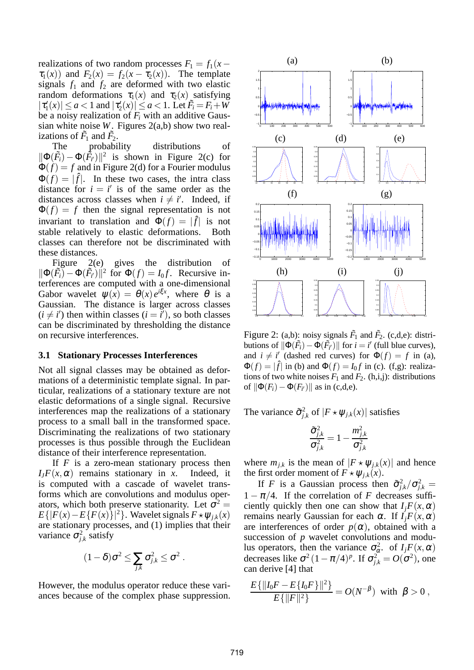realizations of two random processes  $F_1 = f_1(x \tau_1(x)$ ) and  $F_2(x) = f_2(x - \tau_2(x))$ . The template signals  $f_1$  and  $f_2$  are deformed with two elastic random deformations  $\tau_1(x)$  and  $\tau_2(x)$  satisfying  $|\tau_1'(x)| \le a < 1$  and  $|\tau_2'(x)| \le a < 1$ . Let  $\tilde{F}_i = F_i + W$ be a noisy realization of  $F_i$  with an additive Gaussian white noise *W*. Figures 2(a,b) show two realizations of  $\tilde{F}_1$  and  $\tilde{F}_2$ .

The probability distributions of  $\|\Phi(\tilde{F}_i) - \Phi(\tilde{F}_{i'})\|^2$  is shown in Figure 2(c) for  $\Phi(f) = f$  and in Figure 2(d) for a Fourier modulus  $\Phi(f) = |\hat{f}|$ . In these two cases, the intra class distance for  $i = i'$  is of the same order as the distances across classes when  $i \neq i'$ . Indeed, if  $\Phi(f) = f$  then the signal representation is not invariant to translation and  $\Phi(f) = |\hat{f}|$  is not stable relatively to elastic deformations. Both classes can therefore not be discriminated with these distances.

Figure 2(e) gives the distribution of  $\|\Phi(\tilde{F}_i) - \Phi(\tilde{F}_{i'})\|^2$  for  $\Phi(f) = I_0 f$ . Recursive interferences are computed with a one-dimensional Gabor wavelet  $\psi(x) = \theta(x) e^{i\xi x}$ , where  $\theta$  is a Gaussian. The distance is larger across classes  $(i \neq i')$  then within classes  $(i = i')$ , so both classes can be discriminated by thresholding the distance on recursive interferences.

#### **3.1 Stationary Processes Interferences**

Not all signal classes may be obtained as deformations of a deterministic template signal. In particular, realizations of a stationary texture are not elastic deformations of a single signal. Recursive interferences map the realizations of a stationary process to a small ball in the transformed space. Discriminating the realizations of two stationary processes is thus possible through the Euclidean distance of their interference representation.

If *F* is a zero-mean stationary process then  $I_JF(x, \alpha)$  remains stationary in *x*. Indeed, it is computed with a cascade of wavelet transforms which are convolutions and modulus operators, which both preserve stationarity. Let  $\sigma^2 =$  $E\{|F(x) - E\{F(x)\}|^2\}$ . Wavelet signals  $F \star \psi_{j,k}(x)$ are stationary processes, and (1) implies that their variance  $\sigma_{j,k}^2$  satisfy

$$
(1-\delta)\sigma^2 \leq \sum_{j,k}\sigma_{j,k}^2 \leq \sigma^2.
$$

However, the modulus operator reduce these variances because of the complex phase suppression.



Figure 2: (a,b): noisy signals  $\tilde{F}_1$  and  $\tilde{F}_2$ . (c,d,e): distributions of  $\|\Phi(\tilde{F}_i) - \Phi(\tilde{F}_{i'})\|$  for  $i = i'$  (full blue curves), and  $i \neq i'$  (dashed red curves) for  $\Phi(f) = f$  in (a),  $\Phi(f) = |\hat{f}|$  in (b) and  $\Phi(f) = I_0 f$  in (c). (f,g): realizations of two white noises  $F_1$  and  $F_2$ . (h,i,j): distributions of  $\|\Phi(F_i) - \Phi(F_{i'})\|$  as in (c,d,e).

The variance  $\tilde{\sigma}_{j,k}^2$  of  $|F \star \psi_{j,k}(x)|$  satisfies

$$
\frac{\tilde{\sigma}_{j,k}^2}{\sigma_{j,k}^2} = 1 - \frac{m_{j,k}^2}{\sigma_{j,k}^2}
$$

where  $m_{j,k}$  is the mean of  $|F \star \psi_{j,k}(x)|$  and hence the first order moment of  $F \star \psi_{j,k}(x)$ .

If *F* is a Gaussian process then  $\tilde{\sigma}_{j,k}^2/\sigma_{j,k}^2 =$  $1 - \pi/4$ . If the correlation of *F* decreases sufficiently quickly then one can show that  $I_iF(x, \alpha)$ remains nearly Gaussian for each α. If  $I_iF(x, α)$ are interferences of order  $p(\alpha)$ , obtained with a succession of *p* wavelet convolutions and modulus operators, then the variance  $\sigma_{\alpha}^2$ . of  $I_jF(x, \alpha)$ decreases like  $\sigma^2 (1 - \pi/4)^p$ . If  $\sigma_{j,k}^2 = O(\sigma^2)$ , one can derive [4] that

$$
\frac{E\{\|I_0F - E\{I_0F\}\|^2\}}{E\{\|F\|^2\}} = O(N^{-\beta}) \text{ with } \beta > 0 ,
$$